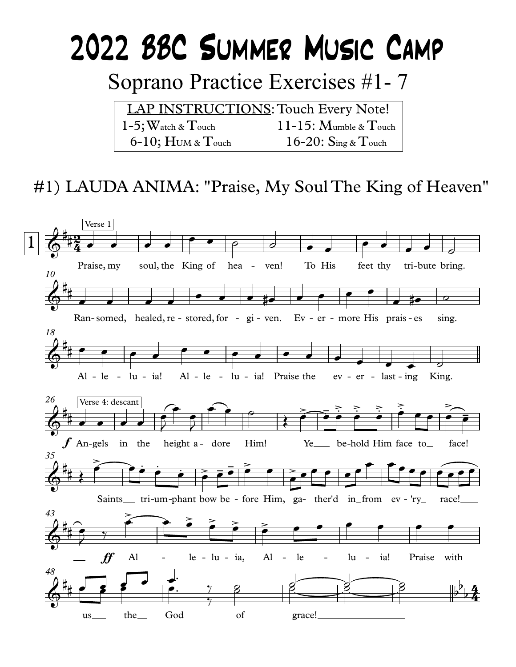# 2022 BBC SUMMER MUSIC CAMP

Soprano Practice Exercises #1-7

LAP INSTRUCTIONS: Touch Every Note!  $1-5$ ; Watch &  $T$ ouch  $11-15$ : Mumble & Touch  $6-10$ ;  $H$ UM &  $T$ ouch 16-20:  $\text{Sing } \& \text{Touch}$ 

## #1) LAUDA ANIMA: "Praise, My Soul The King of Heaven"

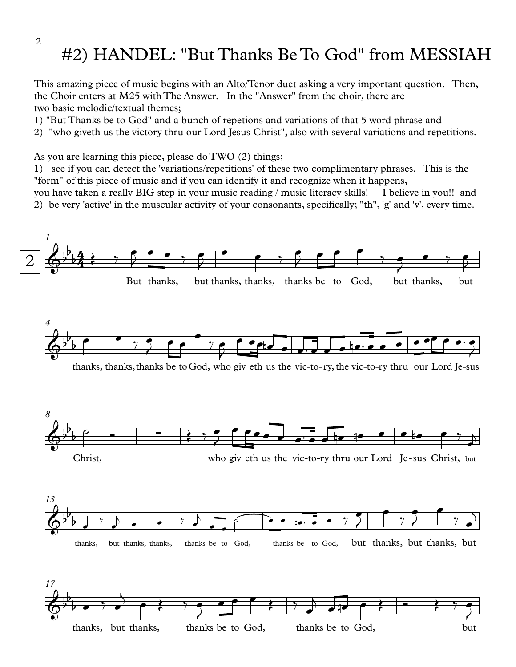#### 2

#### #2) HANDEL: "But Thanks Be To God" from MESSIAH

This amazing piece of music begins with an Alto/Tenor duet asking a very important question. Then, the Choir enters at M25 with The Answer. In the "Answer" from the choir, there are two basic melodic/textual themes;

1) "But Thanks be to God" and a bunch of repetions and variations of that 5 word phrase and

2) "who giveth us the victory thru our Lord Jesus Christ", also with several variations and repetitions.

As you are learning this piece, please do TWO (2) things;

1) see if you can detect the 'variations/repetitions' of these two complimentary phrases. This is the "form" of this piece of music and if you can identify it and recognize when it happens,

you have taken a really BIG step in your music reading / music literacy skills! I believe in you!! and 2) be very 'active' in the muscular activity of your consonants, specifically; "th", 'g' and 'v', every time.



thanks, but thanks, thanks be to God, thanks be to God, but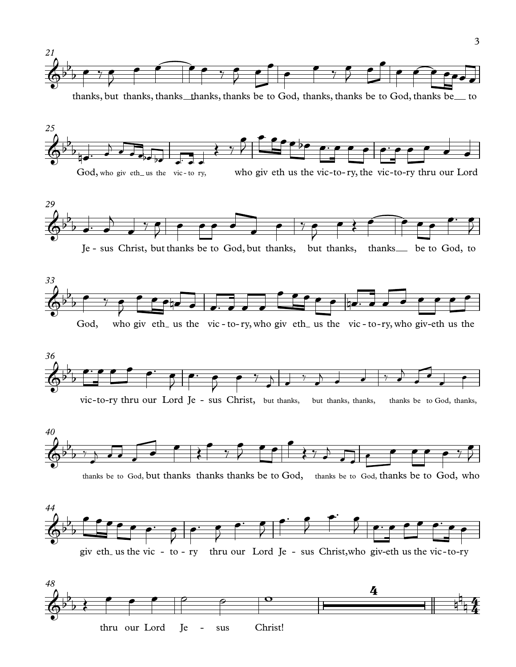

thanks, but thanks, thanks\_thanks, thanks be to God, thanks, thanks be to God, thanks be to













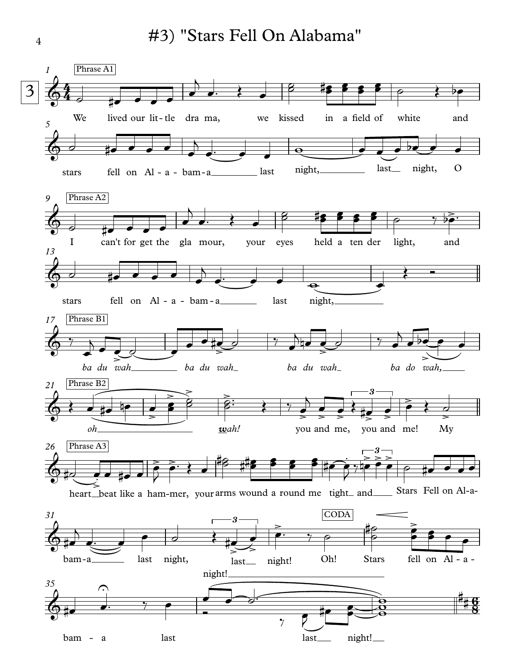#3) "Stars Fell On Alabama"



4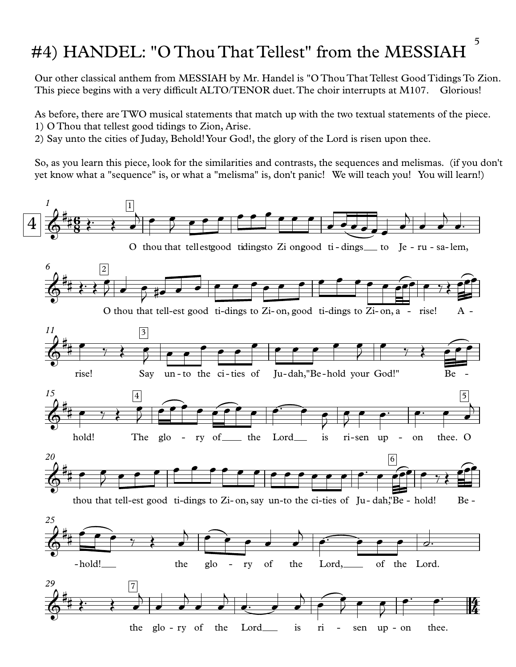### #4) HANDEL: "O Thou That Tellest" from the MESSIAH

Our other classical anthem from MESSIAH by Mr. Handel is "O Thou That Tellest Good Tidings To Zion. This piece begins with a very difficult ALTO/TENOR duet. The choir interrupts at M107. Glorious!

As before, there are TWO musical statements that match up with the two textual statements of the piece. 1) O Thou that tellest good tidings to Zion, Arise.

2) Say unto the cities of Juday, Behold! Your God!, the glory of the Lord is risen upon thee.

So, as you learn this piece, look for the similarities and contrasts, the sequences and melismas. (if you don't yet know what a "sequence" is, or what a "melisma" is, don't panic! We will teach you! You will learn!)

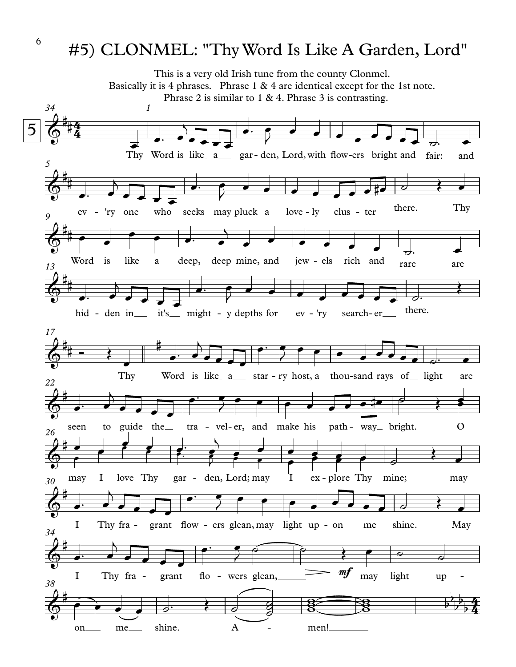#### #5) CLONMEL: "ThyWord Is Like A Garden, Lord"

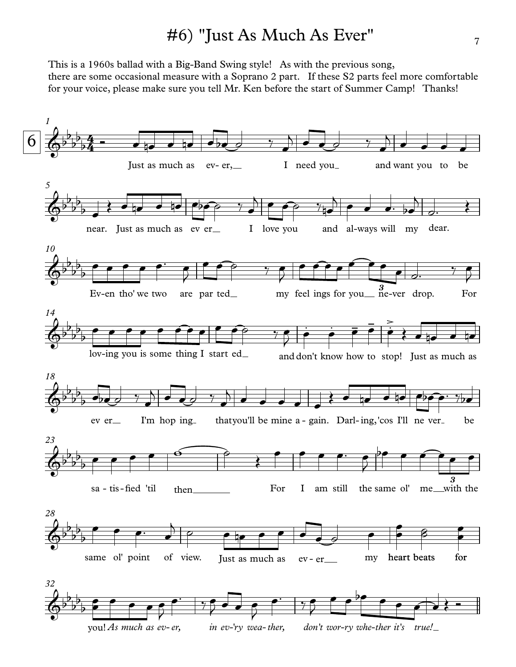#### #6) "Just As Much As Ever"

This is a 1960s ballad with a Big-Band Swing style! As with the previous song, there are some occasional measure with a Soprano 2 part. If these S2 parts feel more comfortable for your voice, please make sure you tell Mr. Ken before the start of Summer Camp! Thanks!

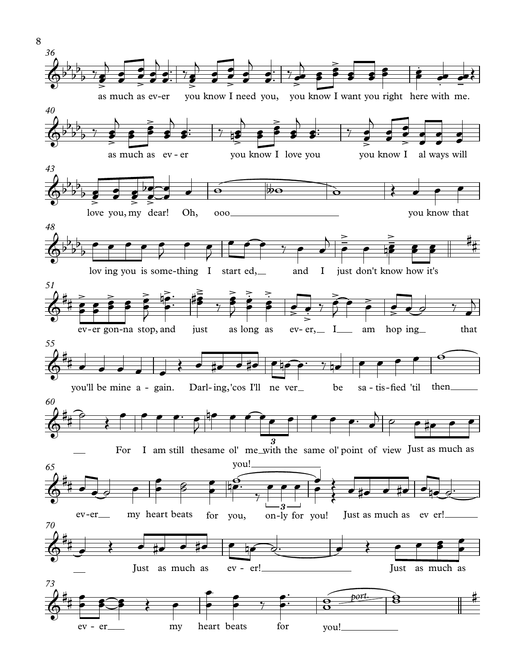